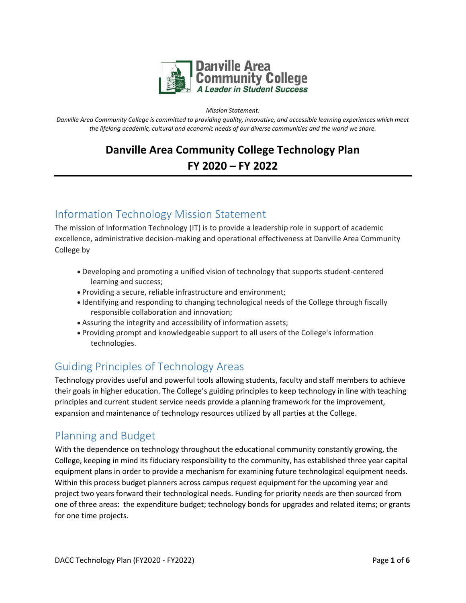

*Mission Statement:* 

*Danville Area Community College is committed to providing quality, innovative, and accessible learning experiences which meet the lifelong academic, cultural and economic needs of our diverse communities and the world we share.*

# **Danville Area Community College Technology Plan FY 2020 – FY 2022**

# Information Technology Mission Statement

The mission of Information Technology (IT) is to provide a leadership role in support of academic excellence, administrative decision-making and operational effectiveness at Danville Area Community College by

- Developing and promoting a unified vision of technology that supports student-centered learning and success;
- Providing a secure, reliable infrastructure and environment;
- Identifying and responding to changing technological needs of the College through fiscally responsible collaboration and innovation;
- Assuring the integrity and accessibility of information assets;
- Providing prompt and knowledgeable support to all users of the College's information technologies.

# Guiding Principles of Technology Areas

Technology provides useful and powerful tools allowing students, faculty and staff members to achieve their goals in higher education. The College's guiding principles to keep technology in line with teaching principles and current student service needs provide a planning framework for the improvement, expansion and maintenance of technology resources utilized by all parties at the College.

# Planning and Budget

With the dependence on technology throughout the educational community constantly growing, the College, keeping in mind its fiduciary responsibility to the community, has established three year capital equipment plans in order to provide a mechanism for examining future technological equipment needs. Within this process budget planners across campus request equipment for the upcoming year and project two years forward their technological needs. Funding for priority needs are then sourced from one of three areas: the expenditure budget; technology bonds for upgrades and related items; or grants for one time projects.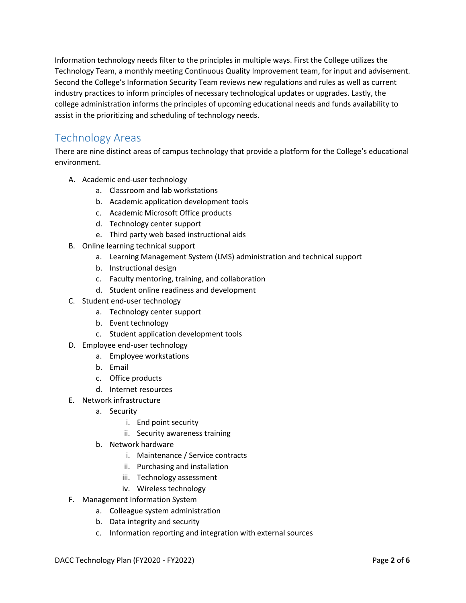Information technology needs filter to the principles in multiple ways. First the College utilizes the Technology Team, a monthly meeting Continuous Quality Improvement team, for input and advisement. Second the College's Information Security Team reviews new regulations and rules as well as current industry practices to inform principles of necessary technological updates or upgrades. Lastly, the college administration informs the principles of upcoming educational needs and funds availability to assist in the prioritizing and scheduling of technology needs.

# Technology Areas

There are nine distinct areas of campus technology that provide a platform for the College's educational environment.

- A. Academic end-user technology
	- a. Classroom and lab workstations
	- b. Academic application development tools
	- c. Academic Microsoft Office products
	- d. Technology center support
	- e. Third party web based instructional aids
- B. Online learning technical support
	- a. Learning Management System (LMS) administration and technical support
	- b. Instructional design
	- c. Faculty mentoring, training, and collaboration
	- d. Student online readiness and development
- C. Student end-user technology
	- a. Technology center support
	- b. Event technology
	- c. Student application development tools
- D. Employee end-user technology
	- a. Employee workstations
	- b. Email
	- c. Office products
	- d. Internet resources
- E. Network infrastructure
	- a. Security
		- i. End point security
		- ii. Security awareness training
	- b. Network hardware
		- i. Maintenance / Service contracts
		- ii. Purchasing and installation
		- iii. Technology assessment
		- iv. Wireless technology
- F. Management Information System
	- a. Colleague system administration
	- b. Data integrity and security
	- c. Information reporting and integration with external sources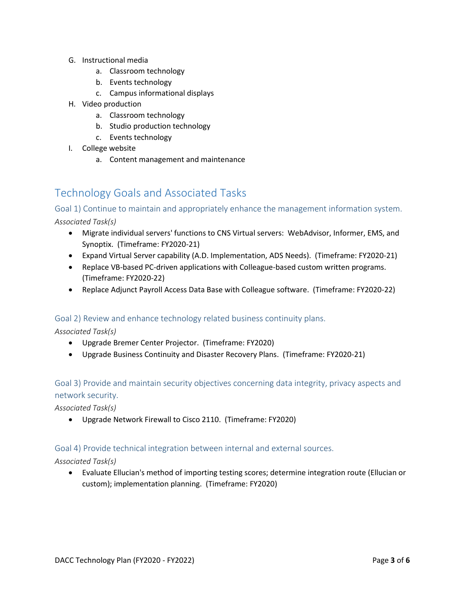- G. Instructional media
	- a. Classroom technology
	- b. Events technology
	- c. Campus informational displays
- H. Video production
	- a. Classroom technology
	- b. Studio production technology
	- c. Events technology
- I. College website
	- a. Content management and maintenance

# Technology Goals and Associated Tasks

Goal 1) Continue to maintain and appropriately enhance the management information system.

*Associated Task(s)*

- Migrate individual servers' functions to CNS Virtual servers: WebAdvisor, Informer, EMS, and Synoptix. (Timeframe: FY2020-21)
- Expand Virtual Server capability (A.D. Implementation, ADS Needs). (Timeframe: FY2020-21)
- Replace VB-based PC-driven applications with Colleague-based custom written programs. (Timeframe: FY2020-22)
- Replace Adjunct Payroll Access Data Base with Colleague software. (Timeframe: FY2020-22)

### Goal 2) Review and enhance technology related business continuity plans.

*Associated Task(s)*

- Upgrade Bremer Center Projector. (Timeframe: FY2020)
- Upgrade Business Continuity and Disaster Recovery Plans. (Timeframe: FY2020-21)

## Goal 3) Provide and maintain security objectives concerning data integrity, privacy aspects and network security.

*Associated Task(s)*

Upgrade Network Firewall to Cisco 2110. (Timeframe: FY2020)

### Goal 4) Provide technical integration between internal and external sources.

*Associated Task(s)*

 Evaluate Ellucian's method of importing testing scores; determine integration route (Ellucian or custom); implementation planning. (Timeframe: FY2020)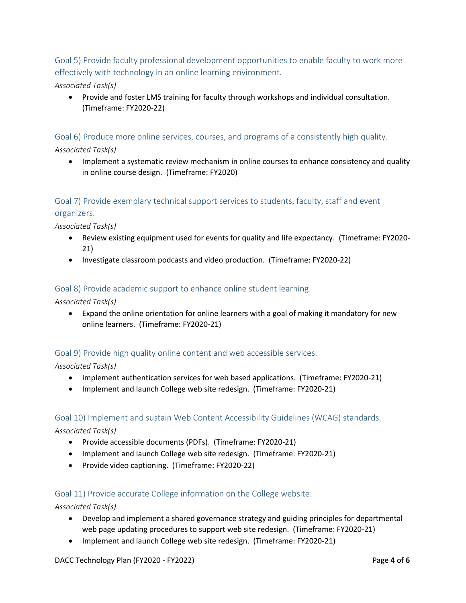Goal 5) Provide faculty professional development opportunities to enable faculty to work more effectively with technology in an online learning environment.

### *Associated Task(s)*

 Provide and foster LMS training for faculty through workshops and individual consultation. (Timeframe: FY2020-22)

Goal 6) Produce more online services, courses, and programs of a consistently high quality. *Associated Task(s)*

 Implement a systematic review mechanism in online courses to enhance consistency and quality in online course design. (Timeframe: FY2020)

# Goal 7) Provide exemplary technical support services to students, faculty, staff and event organizers.

*Associated Task(s)*

- Review existing equipment used for events for quality and life expectancy. (Timeframe: FY2020- 21)
- Investigate classroom podcasts and video production. (Timeframe: FY2020-22)

#### Goal 8) Provide academic support to enhance online student learning.

*Associated Task(s)*

 Expand the online orientation for online learners with a goal of making it mandatory for new online learners. (Timeframe: FY2020-21)

### Goal 9) Provide high quality online content and web accessible services.

*Associated Task(s)*

- Implement authentication services for web based applications. (Timeframe: FY2020-21)
- Implement and launch College web site redesign. (Timeframe: FY2020-21)

#### Goal 10) Implement and sustain Web Content Accessibility Guidelines (WCAG) standards.

*Associated Task(s)*

- Provide accessible documents (PDFs). (Timeframe: FY2020-21)
- Implement and launch College web site redesign. (Timeframe: FY2020-21)
- Provide video captioning. (Timeframe: FY2020-22)

#### Goal 11) Provide accurate College information on the College website.

*Associated Task(s)*

- Develop and implement a shared governance strategy and guiding principles for departmental web page updating procedures to support web site redesign. (Timeframe: FY2020-21)
- Implement and launch College web site redesign. (Timeframe: FY2020-21)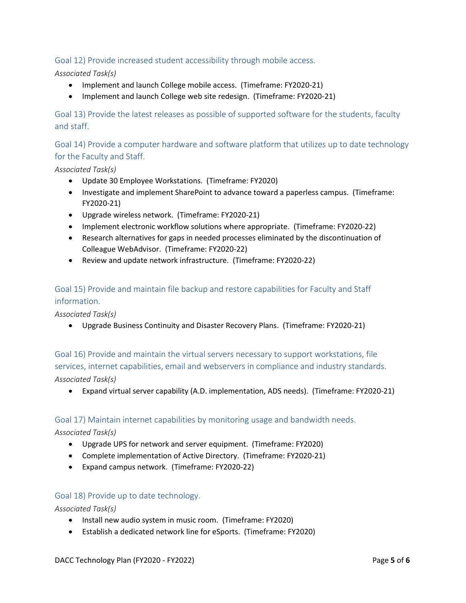### Goal 12) Provide increased student accessibility through mobile access.

### *Associated Task(s)*

- Implement and launch College mobile access. (Timeframe: FY2020-21)
- Implement and launch College web site redesign. (Timeframe: FY2020-21)

Goal 13) Provide the latest releases as possible of supported software for the students, faculty and staff.

Goal 14) Provide a computer hardware and software platform that utilizes up to date technology for the Faculty and Staff.

*Associated Task(s)*

- Update 30 Employee Workstations. (Timeframe: FY2020)
- Investigate and implement SharePoint to advance toward a paperless campus. (Timeframe: FY2020-21)
- Upgrade wireless network. (Timeframe: FY2020-21)
- Implement electronic workflow solutions where appropriate. (Timeframe: FY2020-22)
- Research alternatives for gaps in needed processes eliminated by the discontinuation of Colleague WebAdvisor. (Timeframe: FY2020-22)
- Review and update network infrastructure. (Timeframe: FY2020-22)

## Goal 15) Provide and maintain file backup and restore capabilities for Faculty and Staff information.

*Associated Task(s)*

Upgrade Business Continuity and Disaster Recovery Plans. (Timeframe: FY2020-21)

Goal 16) Provide and maintain the virtual servers necessary to support workstations, file services, internet capabilities, email and webservers in compliance and industry standards. *Associated Task(s)*

Expand virtual server capability (A.D. implementation, ADS needs). (Timeframe: FY2020-21)

#### Goal 17) Maintain internet capabilities by monitoring usage and bandwidth needs.

*Associated Task(s)*

- Upgrade UPS for network and server equipment. (Timeframe: FY2020)
- Complete implementation of Active Directory. (Timeframe: FY2020-21)
- Expand campus network. (Timeframe: FY2020-22)

#### Goal 18) Provide up to date technology.

*Associated Task(s)*

- Install new audio system in music room. (Timeframe: FY2020)
- Establish a dedicated network line for eSports. (Timeframe: FY2020)